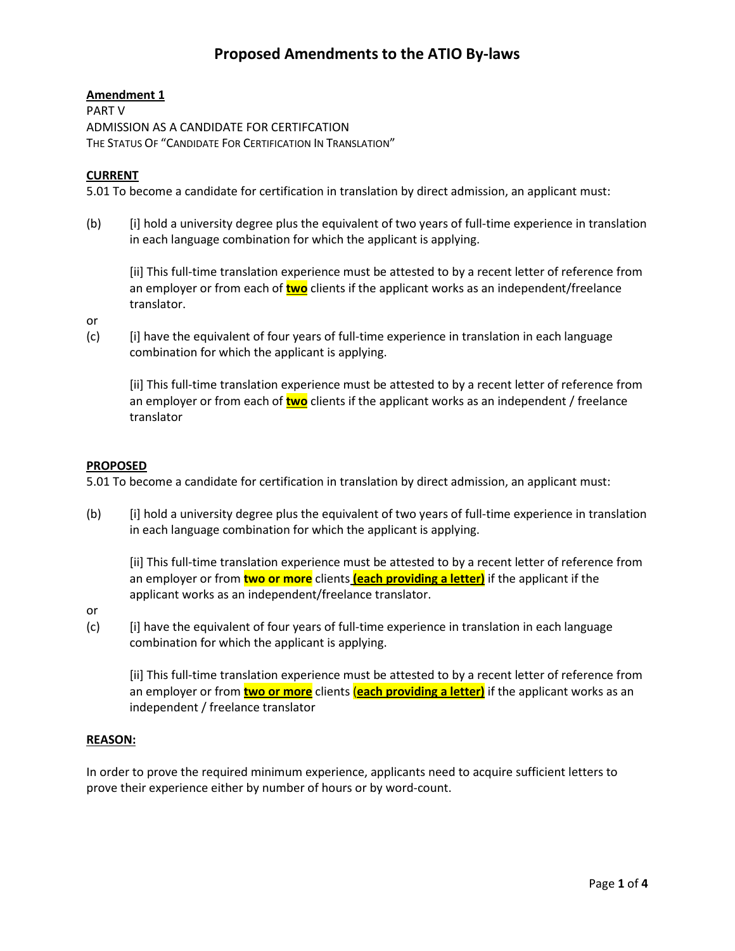# **Proposed Amendments to the ATIO By-laws**

## **Amendment 1**

PART V ADMISSION AS A CANDIDATE FOR CERTIFCATION THE STATUS OF "CANDIDATE FOR CERTIFICATION IN TRANSLATION"

## **CURRENT**

5.01 To become a candidate for certification in translation by direct admission, an applicant must:

(b) [i] hold a university degree plus the equivalent of two years of full-time experience in translation in each language combination for which the applicant is applying.

[ii] This full-time translation experience must be attested to by a recent letter of reference from an employer or from each of **two** clients if the applicant works as an independent/freelance translator.

or

(c) [i] have the equivalent of four years of full-time experience in translation in each language combination for which the applicant is applying.

[ii] This full-time translation experience must be attested to by a recent letter of reference from an employer or from each of **two** clients if the applicant works as an independent / freelance translator

## **PROPOSED**

5.01 To become a candidate for certification in translation by direct admission, an applicant must:

(b) [i] hold a university degree plus the equivalent of two years of full-time experience in translation in each language combination for which the applicant is applying.

[ii] This full-time translation experience must be attested to by a recent letter of reference from an employer or from **two or more** clients **(each providing a letter)** if the applicant if the applicant works as an independent/freelance translator.

or

(c) [i] have the equivalent of four years of full-time experience in translation in each language combination for which the applicant is applying.

[ii] This full-time translation experience must be attested to by a recent letter of reference from an employer or from **two or more** clients (**each providing a letter)** if the applicant works as an independent / freelance translator

# **REASON:**

In order to prove the required minimum experience, applicants need to acquire sufficient letters to prove their experience either by number of hours or by word-count.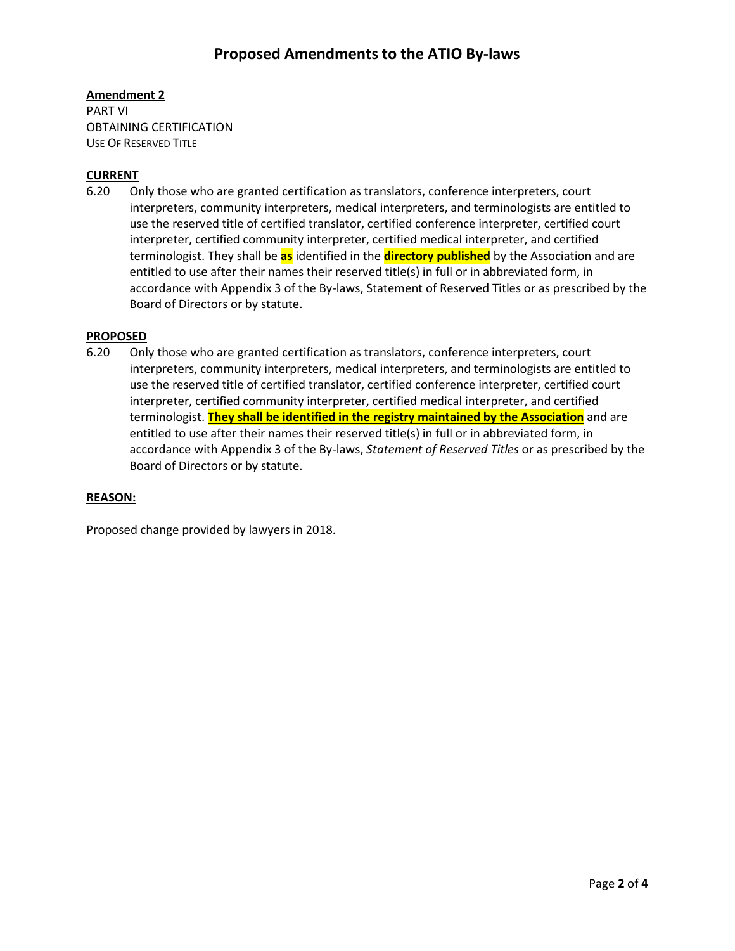# **Amendment 2**

PART VI OBTAINING CERTIFICATION USE OF RESERVED TITLE

#### **CURRENT**

6.20 Only those who are granted certification as translators, conference interpreters, court interpreters, community interpreters, medical interpreters, and terminologists are entitled to use the reserved title of certified translator, certified conference interpreter, certified court interpreter, certified community interpreter, certified medical interpreter, and certified terminologist. They shall be **as** identified in the **directory published** by the Association and are entitled to use after their names their reserved title(s) in full or in abbreviated form, in accordance with Appendix 3 of the By-laws, Statement of Reserved Titles or as prescribed by the Board of Directors or by statute.

#### **PROPOSED**

6.20 Only those who are granted certification as translators, conference interpreters, court interpreters, community interpreters, medical interpreters, and terminologists are entitled to use the reserved title of certified translator, certified conference interpreter, certified court interpreter, certified community interpreter, certified medical interpreter, and certified terminologist. **They shall be identified in the registry maintained by the Association** and are entitled to use after their names their reserved title(s) in full or in abbreviated form, in accordance with Appendix 3 of the By-laws, *Statement of Reserved Titles* or as prescribed by the Board of Directors or by statute.

#### **REASON:**

Proposed change provided by lawyers in 2018.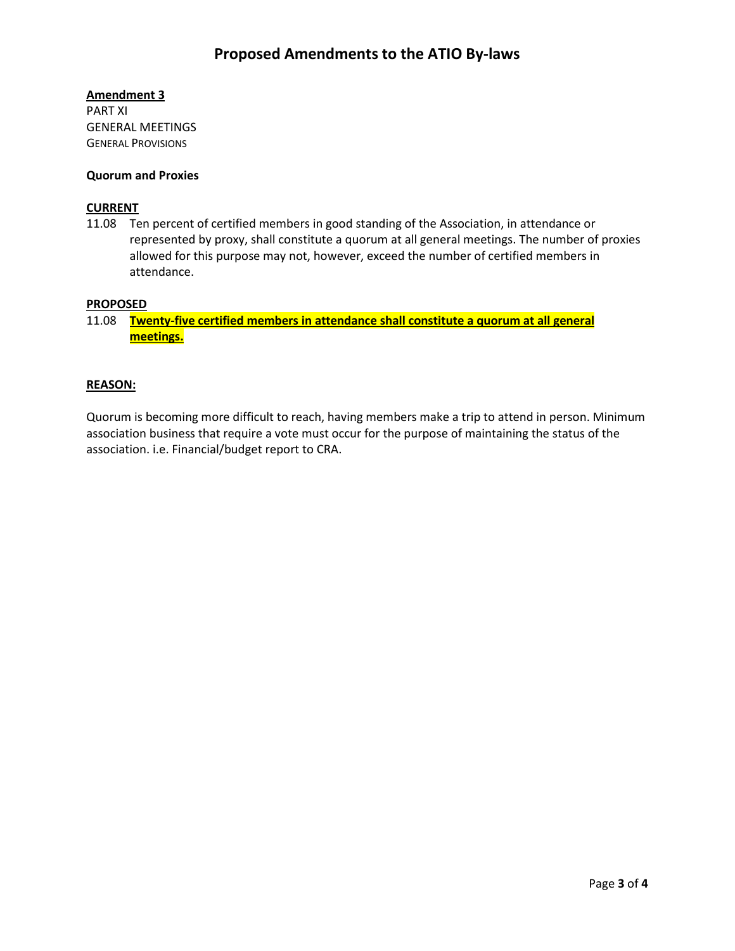## **Amendment 3**

PART XI GENERAL MEETINGS GENERAL PROVISIONS

#### **Quorum and Proxies**

#### **CURRENT**

11.08 Ten percent of certified members in good standing of the Association, in attendance or represented by proxy, shall constitute a quorum at all general meetings. The number of proxies allowed for this purpose may not, however, exceed the number of certified members in attendance.

#### **PROPOSED**

11.08 **Twenty-five certified members in attendance shall constitute a quorum at all general meetings.**

#### **REASON:**

Quorum is becoming more difficult to reach, having members make a trip to attend in person. Minimum association business that require a vote must occur for the purpose of maintaining the status of the association. i.e. Financial/budget report to CRA.